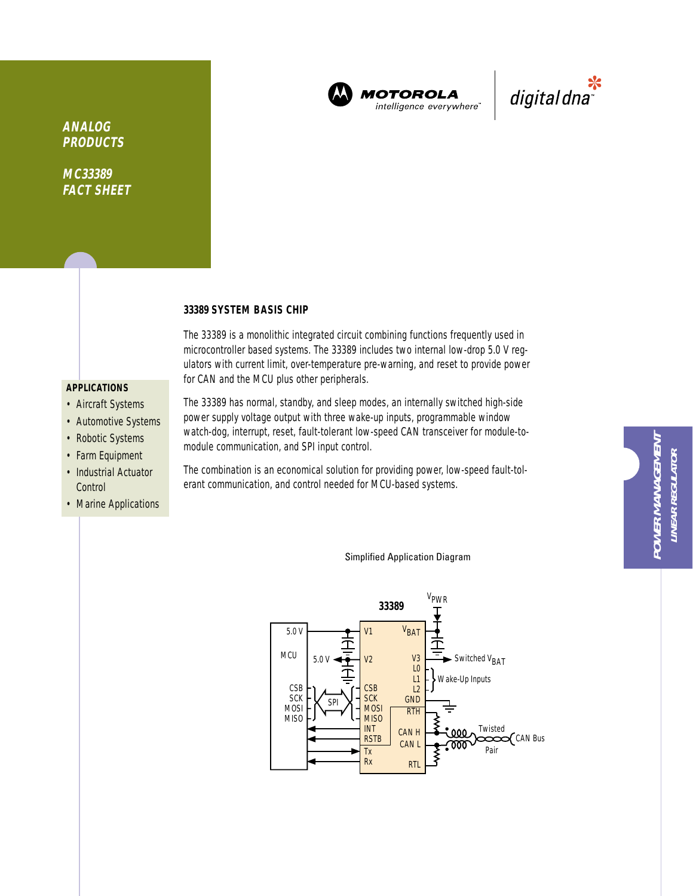

**MOTOROLA** intelligence everywhere"



**ANALOG PRODUCTS**

**MC33389 FACT SHEET**

### **33389 SYSTEM BASIS CHIP**

The 33389 is a monolithic integrated circuit combining functions frequently used in microcontroller based systems. The 33389 includes two internal low-drop 5.0 V regulators with current limit, over-temperature pre-warning, and reset to provide power for CAN and the MCU plus other peripherals.

### **APPLICATIONS**

- Aircraft Systems
- Automotive Systems
- Robotic Systems
- Farm Equipment
- Industrial Actuator **Control**
- Marine Applications

The 33389 has normal, standby, and sleep modes, an internally switched high-side power supply voltage output with three wake-up inputs, programmable window watch-dog, interrupt, reset, fault-tolerant low-speed CAN transceiver for module-tomodule communication, and SPI input control.

The combination is an economical solution for providing power, low-speed fault-tolerant communication, and control needed for MCU-based systems.

### Simplified Application Diagram

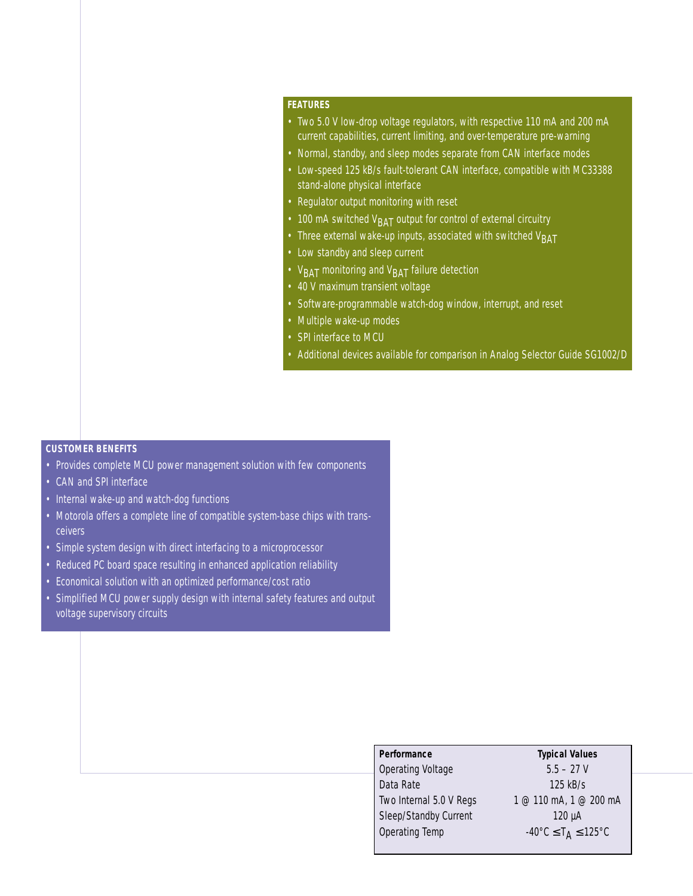### **FEATURES**

- Two 5.0 V low-drop voltage regulators, with respective 110 mA and 200 mA current capabilities, current limiting, and over-temperature pre-warning
- Normal, standby, and sleep modes separate from CAN interface modes
- Low-speed 125 kB/s fault-tolerant CAN interface, compatible with MC33388 stand-alone physical interface
- Regulator output monitoring with reset
- 100 mA switched  $V<sub>BAT</sub>$  output for control of external circuitry
- Three external wake-up inputs, associated with switched  $V<sub>BAT</sub>$
- Low standby and sleep current
- $V<sub>BAT</sub>$  monitoring and  $V<sub>BAT</sub>$  failure detection
- 40 V maximum transient voltage
- Software-programmable watch-dog window, interrupt, and reset
- Multiple wake-up modes
- SPI interface to MCU
- Additional devices available for comparison in Analog Selector Guide SG1002/D

### **CUSTOMER BENEFITS**

- Provides complete MCU power management solution with few components
- CAN and SPI interface
- Internal wake-up and watch-dog functions
- Motorola offers a complete line of compatible system-base chips with transceivers
- Simple system design with direct interfacing to a microprocessor
- Reduced PC board space resulting in enhanced application reliability
- Economical solution with an optimized performance/cost ratio
- Simplified MCU power supply design with internal safety features and output voltage supervisory circuits

# **Performance Typical Values**

Operating Voltage 5.5 – 27 V Data Rate 125 kB/s Two Internal 5.0 V Regs 1 @ 110 mA, 1 @ 200 mA Sleep/Standby Current 120 µA Operating Temp  $-40^{\circ}$ C  $\leq T_A \leq 125^{\circ}$ C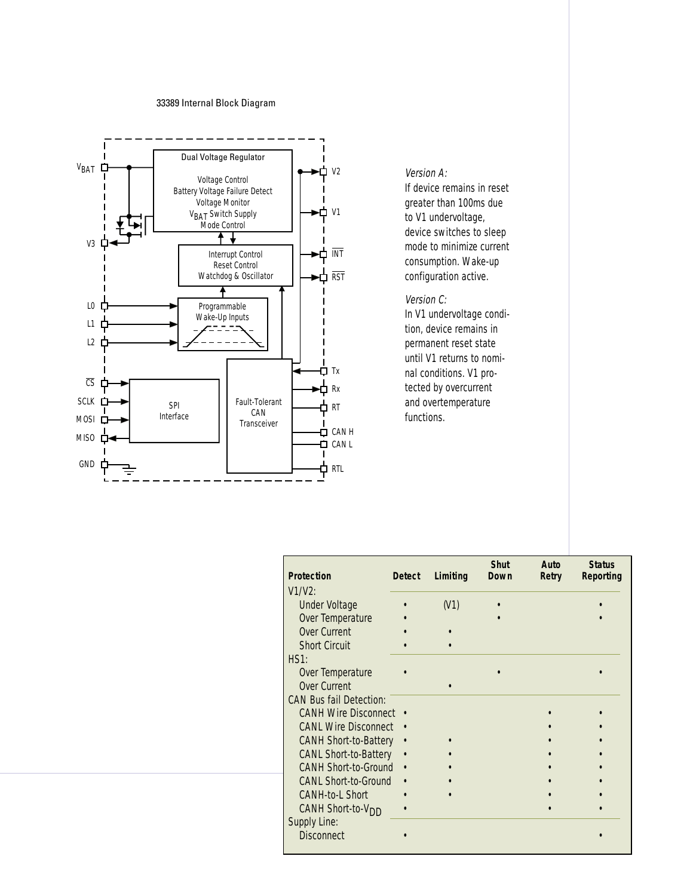### 33389 Internal Block Diagram



Version A:

If device remains in reset greater than 100ms due to V1 undervoltage, device switches to sleep mode to minimize current consumption. Wake-up configuration active.

### Version C:

In V1 undervoltage condition, device remains in permanent reset state until V1 returns to nominal conditions. V1 protected by overcurrent and overtemperature functions.

| <b>Protection</b>              | <b>Detect</b> | Limiting | <b>Shut</b><br><b>Down</b> | Auto<br>Retry | <b>Status</b><br><b>Reporting</b> |
|--------------------------------|---------------|----------|----------------------------|---------------|-----------------------------------|
| $V1/V2$ :                      |               |          |                            |               |                                   |
| <b>Under Voltage</b>           |               | (V1)     |                            |               |                                   |
| Over Temperature               |               |          |                            |               |                                   |
| <b>Over Current</b>            |               |          |                            |               |                                   |
| <b>Short Circuit</b>           |               |          |                            |               |                                   |
| HS1:                           |               |          |                            |               |                                   |
| Over Temperature               |               |          |                            |               |                                   |
| Over Current                   |               |          |                            |               |                                   |
| <b>CAN Bus fail Detection:</b> |               |          |                            |               |                                   |
| <b>CANH Wire Disconnect</b>    |               |          |                            |               |                                   |
| <b>CANL Wire Disconnect</b>    |               |          |                            |               |                                   |
| <b>CANH Short-to-Battery</b>   |               |          |                            |               |                                   |
| <b>CANL Short-to-Battery</b>   |               |          |                            |               |                                   |
| <b>CANH Short-to-Ground</b>    |               |          |                            |               |                                   |
| <b>CANL Short-to-Ground</b>    |               |          |                            |               |                                   |
| CANH-to-L Short                |               |          |                            |               |                                   |
| CANH Short-to-V <sub>DD</sub>  |               |          |                            |               |                                   |
| Supply Line:                   |               |          |                            |               |                                   |
| <b>Disconnect</b>              |               |          |                            |               |                                   |